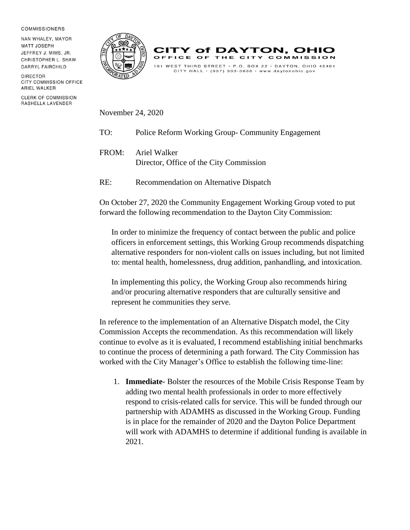## **COMMISSIONERS**

NAN WHALEY, MAYOR **MATT JOSEPH** JEFFREY J. MIMS, JR. CHRISTOPHER L. SHAW DARRYL FAIRCHILD

DIRECTOR CITY COMMISSION OFFICE ARIEL WALKER

**CLERK OF COMMISSION** RASHELLA LAVENDER





November 24, 2020

- TO: Police Reform Working Group- Community Engagement
- FROM: Ariel Walker Director, Office of the City Commission
- RE: Recommendation on Alternative Dispatch

On October 27, 2020 the Community Engagement Working Group voted to put forward the following recommendation to the Dayton City Commission:

In order to minimize the frequency of contact between the public and police officers in enforcement settings, this Working Group recommends dispatching alternative responders for non-violent calls on issues including, but not limited to: mental health, homelessness, drug addition, panhandling, and intoxication.

In implementing this policy, the Working Group also recommends hiring and/or procuring alternative responders that are culturally sensitive and represent he communities they serve.

In reference to the implementation of an Alternative Dispatch model, the City Commission Accepts the recommendation. As this recommendation will likely continue to evolve as it is evaluated, I recommend establishing initial benchmarks to continue the process of determining a path forward. The City Commission has worked with the City Manager's Office to establish the following time-line:

1. **Immediate**- Bolster the resources of the Mobile Crisis Response Team by adding two mental health professionals in order to more effectively respond to crisis-related calls for service. This will be funded through our partnership with ADAMHS as discussed in the Working Group. Funding is in place for the remainder of 2020 and the Dayton Police Department will work with ADAMHS to determine if additional funding is available in 2021.